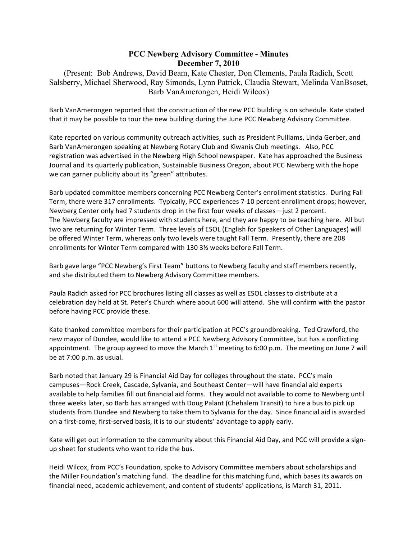## **PCC Newberg Advisory Committee - Minutes December 7, 2010**

(Present: Bob Andrews, David Beam, Kate Chester, Don Clements, Paula Radich, Scott Salsberry, Michael Sherwood, Ray Simonds, Lynn Patrick, Claudia Stewart, Melinda VanBsoset, Barb VanAmerongen, Heidi Wilcox)

Barb VanAmerongen reported that the construction of the new PCC building is on schedule. Kate stated that it may be possible to tour the new building during the June PCC Newberg Advisory Committee.

Kate reported on various community outreach activities, such as President Pulliams, Linda Gerber, and Barb VanAmerongen speaking at Newberg Rotary Club and Kiwanis Club meetings. Also, PCC registration was advertised in the Newberg High School newspaper. Kate has approached the Business Journal and its quarterly publication, Sustainable Business Oregon, about PCC Newberg with the hope we can garner publicity about its "green" attributes.

Barb updated committee members concerning PCC Newberg Center's enrollment statistics. During Fall Term, there were 317 enrollments. Typically, PCC experiences 7-10 percent enrollment drops; however, Newberg Center only had 7 students drop in the first four weeks of classes—just 2 percent. The Newberg faculty are impressed with students here, and they are happy to be teaching here. All but two are returning for Winter Term. Three levels of ESOL (English for Speakers of Other Languages) will be offered Winter Term, whereas only two levels were taught Fall Term. Presently, there are 208 enrollments for Winter Term compared with 130 3½ weeks before Fall Term.

Barb gave large "PCC Newberg's First Team" buttons to Newberg faculty and staff members recently, and she distributed them to Newberg Advisory Committee members.

Paula Radich asked for PCC brochures listing all classes as well as ESOL classes to distribute at a celebration day held at St. Peter's Church where about 600 will attend. She will confirm with the pastor before having PCC provide these.

Kate thanked committee members for their participation at PCC's groundbreaking. Ted Crawford, the new mayor of Dundee, would like to attend a PCC Newberg Advisory Committee, but has a conflicting appointment. The group agreed to move the March  $1<sup>st</sup>$  meeting to 6:00 p.m. The meeting on June 7 will be at 7:00 p.m. as usual.

Barb noted that January 29 is Financial Aid Day for colleges throughout the state. PCC's main campuses—Rock Creek, Cascade, Sylvania, and Southeast Center—will have financial aid experts available to help families fill out financial aid forms. They would not available to come to Newberg until three weeks later, so Barb has arranged with Doug Palant (Chehalem Transit) to hire a bus to pick up students from Dundee and Newberg to take them to Sylvania for the day. Since financial aid is awarded on a first-come, first-served basis, it is to our students' advantage to apply early.

Kate will get out information to the community about this Financial Aid Day, and PCC will provide a signup sheet for students who want to ride the bus.

Heidi Wilcox, from PCC's Foundation, spoke to Advisory Committee members about scholarships and the Miller Foundation's matching fund. The deadline for this matching fund, which bases its awards on financial need, academic achievement, and content of students' applications, is March 31, 2011.